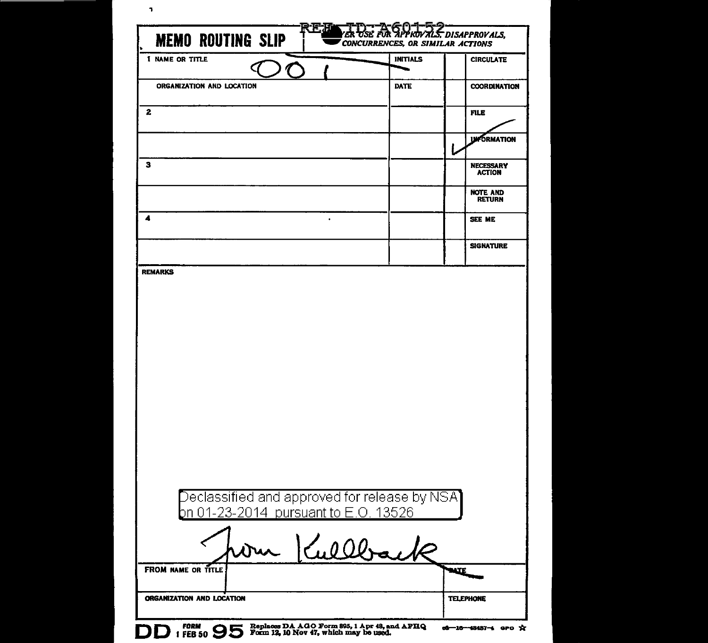| <b>1 NAME OR TITLE</b>                                                                                                          |          | <b>INITIALS</b> | <b>CIRCULATE</b>                  |
|---------------------------------------------------------------------------------------------------------------------------------|----------|-----------------|-----------------------------------|
| $\bigcap$                                                                                                                       |          |                 |                                   |
| ORGANIZATION AND LOCATION                                                                                                       |          | <b>DATE</b>     | <b>COORDINATION</b>               |
| 2                                                                                                                               |          |                 | <b>FILE</b>                       |
|                                                                                                                                 |          |                 | <b>UM ORMATION</b>                |
| з                                                                                                                               |          |                 | <b>NECESSARY</b><br><b>ACTION</b> |
|                                                                                                                                 |          |                 | <b>NOTE AND</b><br><b>RETURN</b>  |
| 4                                                                                                                               |          |                 | SEE ME                            |
|                                                                                                                                 |          |                 | <b>SIGNATURE</b>                  |
|                                                                                                                                 |          |                 |                                   |
| $\overline{\rm{Declassified}}$ and approved for release by NSA $\overline{\phantom{a}}$<br>on 01-23-2014 pursuant to E.O. 13526 |          |                 |                                   |
| Dur                                                                                                                             | Kullback |                 |                                   |
| FROM NAME OR TITLE                                                                                                              |          |                 | <b>BATE</b>                       |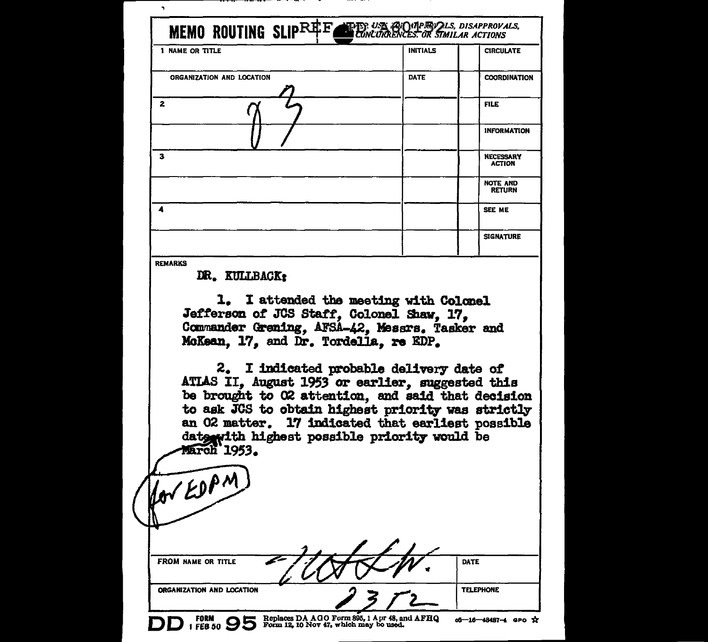| 1 NAME OR TITLE                                                                                                                                                                                                                                                                  | INITIALS    | <b>CIRCULATE</b>                  |
|----------------------------------------------------------------------------------------------------------------------------------------------------------------------------------------------------------------------------------------------------------------------------------|-------------|-----------------------------------|
| ORGANIZATION AND LOCATION                                                                                                                                                                                                                                                        | <b>DATE</b> | <b>COORDINATION</b>               |
| 2                                                                                                                                                                                                                                                                                |             | <b>FILE</b>                       |
|                                                                                                                                                                                                                                                                                  |             | <b>INFORMATION</b>                |
| з                                                                                                                                                                                                                                                                                |             | <b>NECESSARY</b><br><b>ACTION</b> |
|                                                                                                                                                                                                                                                                                  |             | <b>NOTE AND</b><br><b>RETURN</b>  |
| 4                                                                                                                                                                                                                                                                                |             | SEE ME                            |
|                                                                                                                                                                                                                                                                                  |             | <b>SIGNATURE</b>                  |
| DR. KULLBACK:<br>1. I attended the meeting with Colonel<br>Jefferson of JCS Staff, Colonel Shaw, 17,<br>Commander Grening, AFSA-42, Messrs. Tasker and<br>McKean. 17. and Dr. Tordella. re EDP.<br>2. I indicated probable delivery date of                                      |             |                                   |
| ATLAS II, August 1953 or earlier, suggested this<br>be brought to O2 attention, and said that decision<br>to ask JGS to obtain highest priority was strictly<br>an O2 matter. 17 indicated that earliest possible<br>date with highest possible priority would be<br>March 1953. |             |                                   |
| Hor EDAM<br><b>FROM NAME OR TITLE</b>                                                                                                                                                                                                                                            |             | DATE                              |

 $\sim$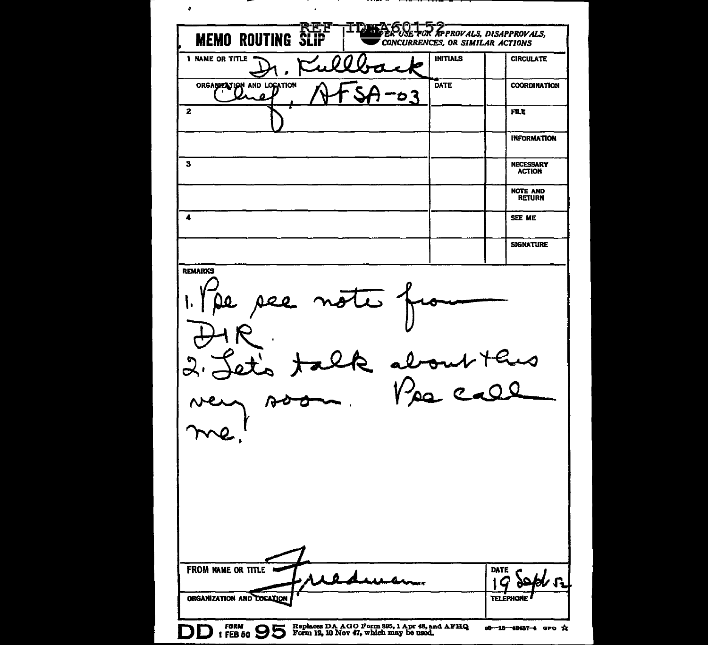$\bullet$  $\mathbf{a}^{\prime}$ **MEMO ROUTING SLIP TDR** USE FOR APPROVALS, DISAPPROVALS, CONCURRENCES, OR SIMILAR ACTIONS **INITIALS CIRCULATE** 1 NAME OR TITLE ORGANIZATION AND LOCATION DATE **COORDINATION** ロマ  $\boldsymbol{a}$  $\mathbf{z}$ **FILE INFORMATION**  $\overline{\mathbf{3}}$ **NECESSARY ACTION NOTE AND RETURN**  $\overline{\mathbf{A}}$ SEE ME **SIGNATURE REMARKS**  $\overline{v}$ ur thus FROM NAME OR TITLE **DATE** C Arrun ORGANIZATION AND DOCATION **TELEPHONE** FORM (FEB 50  $95$  Replaces DA AGO Form 895, 1 Apr 48, and AFHQ 1 FEB 50  $95$  Form 12, 10 Nov 47, which may be used. 00-10-48487-4 GPO X

------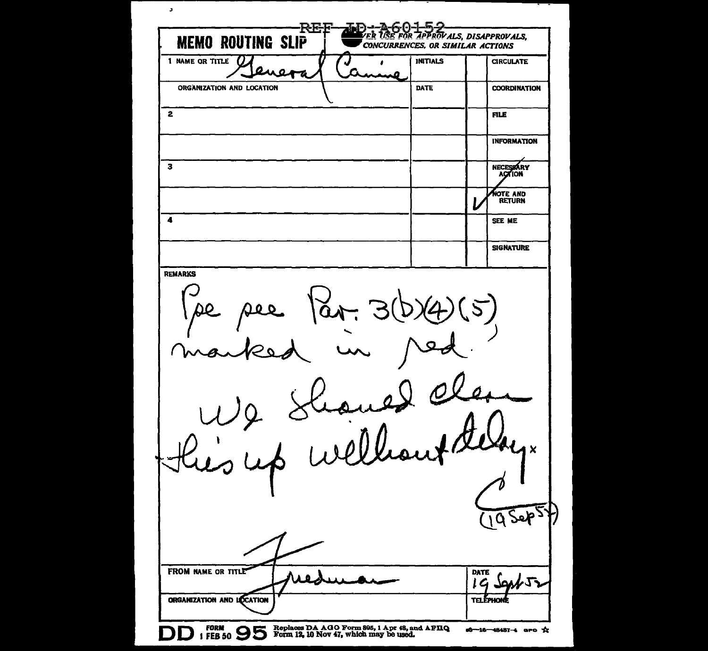$\mathbf{r}$ REF ŋ ER LISE FOR APPROVALS, DISAPPROVALS, **MEMO ROUTING SLIP** CONCURRENCES, OR SIMILAR ACTIONS 1 NAME OR TITLE  $\bigcup$   $\bigcup$   $\bigcup$   $\bigcup$   $\bigcup$   $\bigcup$   $\bigcup$   $\bigcup$  INITIALS  $\bigcup$  CIRCULATE  $\boldsymbol{a}$ 75 مہ ORGANIZATION AND LOCATION DATE | COORDINATION 2 Bernard Communication of the communication of the communication of the communication of the communication of the communication of the communication of the communication of the communication of the communication of the co INFORMATION 3 NECESSARY<br>ACTION **NOTE AND**<br>RETURN **4** SEE ME SIGNATURE REMARKS  $\boldsymbol{\alpha}$  $\boldsymbol{\mathsf{x}}$ **PS** FROM NAME OR TITLE **DATE** イム LG ORGANIZATION AND LOCATION vo 6 **D fORM** 9 5 **Coplaces DA AGO Form 805, 1 Apr 48, and AFHQ I FEB** 50 **Solution P** and **PHQ I EXECUTER P O**  $06 - 16 - 48487 - 4$  are  $X$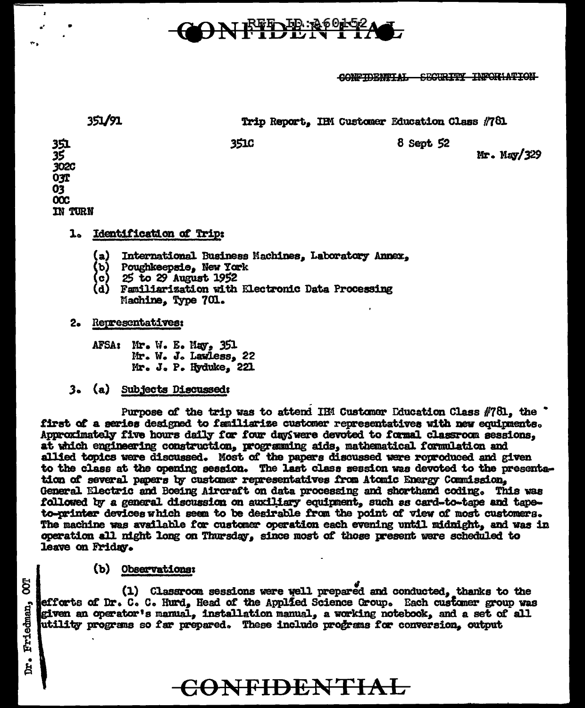## 1 EFT DE 200

CONFIDENTIAL SECURITY INFORMATION

| 351/91                                |             | Trip Report, IHM Customer Education Class #781 |
|---------------------------------------|-------------|------------------------------------------------|
| 351<br>35<br>302C<br><b>03T</b><br>03 | <b>3510</b> | 8 Sept 52<br>Mr. May/329                       |

## **Identification of Trip: 1.**

- International Business Machines, Laboratory Annex, (a) I
- Poughkeepsie. New York (b)
- 25 to 29 August 1952 e)
- (d) Familiarization with Electronic Data Processing Machine, Type 701.
- 2. Representatives:

 $\overline{\text{occ}}$ **IN TURN** 

- AFSA: Mr. W. E. May, 351 Mr. W. J. Lawless, 22 Mr. J. P. Hyduke. 221
- 3. (a) Subjects Discussed:

Purpose of the trip was to attend IEM Customer Iducation Class #781, the " first of a series designed to familiarize customer representatives with new equipments. Approximately five hours daily for four day were devoted to formal classroom sessions, at which engineering construction, programming aids, mathematical formulation and allied topics were discussed. Most of the papers discussed were reproduced and given to the class at the opening session. The last class session was devoted to the presentation of several papers by customer representatives from Atomic Energy Commission. General Electric and Boeing Aircraft on data processing and shorthand coding. This was followed by a general discussion on auxiliary equipment, such as card-to-tape and tapeto-printer devices which seem to be desirable from the point of view of most customers. The machine was available for customer operation each evening until midnight, and was in operation all night long on Thursday, since most of those present were scheduled to leave on Friday.

(b) Observations:

(1) Classroom sessions were well prepared and conducted, thanks to the efforts of Dr. C. C. Hurd, Head of the Applied Science Group. Each customer group was given an operator's manual, installation manual, a working notebook, and a set of all utility programs so far prepared. These include programs for conversion, output

## **CONFIDENTIAL**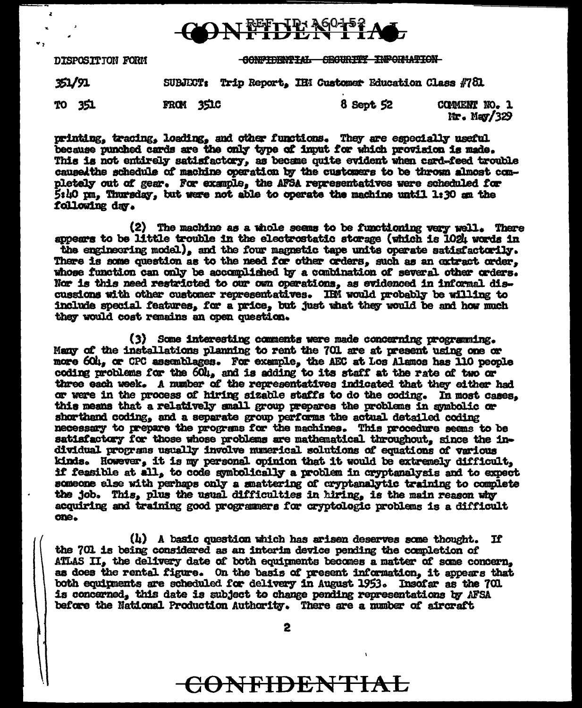

CONFIDENTIAL SECURITY INFORMATION DISPOSITION FORM 351/91 Trip Report, IHM Customer Education Class #781 **SUBJECT:** 8 Sept 52 FROM 3510 COMMENT NO. 1 TO 351  $Mr.$  May/329

z

printing, tracing, loading, and other functions. They are especially useful because punched cards are the only type of imput for which provision is made. This is not entirely satisfactory, as became quite evident when card-feed trouble caused the schedule of machine operation by the customers to be thrown almost completely out of gear. For example, the AFSA representatives were scheduled for  $5:40 \text{ nm}$ , Thursday, but were not able to operate the machine until 1:30 am the following day.

(2) The machine as a whole seems to be functioning very well. There appears to be little trouble in the electrostatic storage (which is 1024 words in the engineering model), and the four magnetic tape units operate satisfactorily. There is some question as to the need for other orders, such as an extract order. whose function can only be accomplished by a combination of several other orders. Nor is this need restricted to our own operations, as evidenced in informal discussions with other customer representatives. IRM would probably be willing to include special features, for a price, but just what they would be and how much they would cost remains an open question.

(3) Some interesting comments were made concerning programing. Many of the installations planning to rent the 701 are at present using one or more 60t, or CPC assemblages. For example, the AEC at Los Alamos has 110 people coding problems for the 60l, and is adding to its staff at the rate of two or three each week. A number of the representatives indicated that they either had or were in the process of hiring sizable staffs to do the coding. In most cases, this means that a relatively small group prepares the problems in symbolic or shorthand coding, and a separate group performs the actual detailed coding necessary to prepare the programs for the machines. This procedure seems to be satisfactory for those whose problems are mathematical throughout, since the individual programs usually involve numerical solutions of equations of various kinds. However, it is my personal opinion that it would be extremely difficult, if feasible at all, to code symbolically a problem in cryptanalysis and to expect someone else with perhaps only a smattering of cryptanalytic training to complete the job. This, plus the usual difficulties in hiring, is the main reason why acquiring and training good programmers for cryptologic problems is a difficult one.

 $(l_i)$  A basic question which has arisen deserves some thought. If the 701 is being considered as an interim device pending the completion of ATLAS II, the delivery date of both equipments becomes a matter of some concern, as does the rental figure. On the basis of present information, it appears that both equipments are scheduled for delivery in August 1953. Insofar as the 701 is concerned, this date is subject to change pending representations by AFSA before the National Production Authority. There are a number of aircraft

2

## CONFIDENTIAL